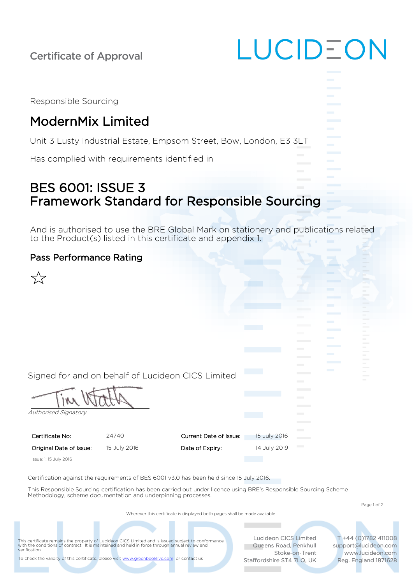| <b>Certificate of Approval</b>                                     | LUCID-ON |
|--------------------------------------------------------------------|----------|
|                                                                    |          |
| Responsible Sourcing                                               |          |
| <b>ModernMix Limited</b>                                           |          |
| Unit 3 Lusty Industrial Estate, Empsom Street, Bow, London, E3 3LT |          |
| Has complied with requirements identified in                       |          |
|                                                                    |          |

## BES 6001: ISSUE 3 Framework Standard for Responsible Sourcing

And is authorised to use the BRE Global Mark on stationery and publications related to the Product(s) listed in this certificate and appendix 1.

## Pass Performance Rating



Authorised Signatory

Certificate No: 24740 Original Date of Issue: 15 July 2016

| Current Date of Issue: | 15 July 2016 |  |
|------------------------|--------------|--|
|                        |              |  |
| Date of Expiry:        | 14 July 2019 |  |
|                        |              |  |

Issue: 1: 15 July 2016

Certification against the requirements of BES 6001 v3.0 has been held since 15 July 2016.

This Responsible Sourcing certification has been carried out under licence using BRE's Responsible Sourcing Scheme Methodology, scheme documentation and underpinning processes.

Page 1 of 2

Wherever this certificate is displayed both pages shall be made available

This certificate remains the property of Lucideon CICS Limited and is issued subject to conformance<br>with the conditions of contract. It is maintained and held in force through annual review and<br>verification.

Lucideon CICS Limited Queens Road, Penkhull Stoke-on-Trent Staffordshire ST4 7LQ, UK

T +44 (0)1782 411008 support@lucideon.com www.lucideon.com Reg. England 1871628

To check the validity of this certificate, please visi[t www.greenbooklive.com](http://www.greenbooklive.com/) or contact us